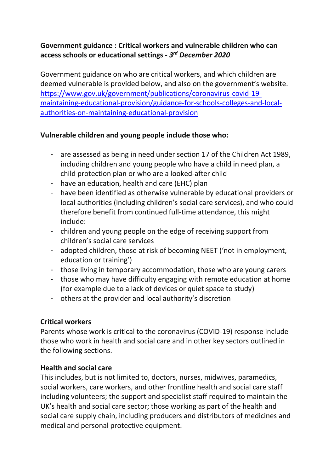## **Government guidance : Critical workers and vulnerable children who can access schools or educational settings -** *3 rd December 2020*

Government guidance on who are critical workers, and which children are deemed vulnerable is provided below, and also on the government's website. [https://www.gov.uk/government/publications/coronavirus-covid-19](https://www.gov.uk/government/publications/coronavirus-covid-19-maintaining-educational-provision/guidance-for-schools-colleges-and-local-authorities-on-maintaining-educational-provision) [maintaining-educational-provision/guidance-for-schools-colleges-and-local](https://www.gov.uk/government/publications/coronavirus-covid-19-maintaining-educational-provision/guidance-for-schools-colleges-and-local-authorities-on-maintaining-educational-provision)[authorities-on-maintaining-educational-provision](https://www.gov.uk/government/publications/coronavirus-covid-19-maintaining-educational-provision/guidance-for-schools-colleges-and-local-authorities-on-maintaining-educational-provision)

## **Vulnerable children and young people include those who:**

- are assessed as being in need under section 17 of the Children Act 1989, including children and young people who have a child in need plan, a child protection plan or who are a looked-after child
- have an education, health and care (EHC) plan
- have been identified as otherwise vulnerable by educational providers or local authorities (including children's social care services), and who could therefore benefit from continued full-time attendance, this might include:
- children and young people on the edge of receiving support from children's social care services
- adopted children, those at risk of becoming NEET ('not in employment, education or training')
- those living in temporary accommodation, those who are young carers
- those who may have difficulty engaging with remote education at home (for example due to a lack of devices or quiet space to study)
- others at the provider and local authority's discretion

### **Critical workers**

Parents whose work is critical to the coronavirus (COVID-19) response include those who work in health and social care and in other key sectors outlined in the following sections.

### **Health and social care**

This includes, but is not limited to, doctors, nurses, midwives, paramedics, social workers, care workers, and other frontline health and social care staff including volunteers; the support and specialist staff required to maintain the UK's health and social care sector; those working as part of the health and social care supply chain, including producers and distributors of medicines and medical and personal protective equipment.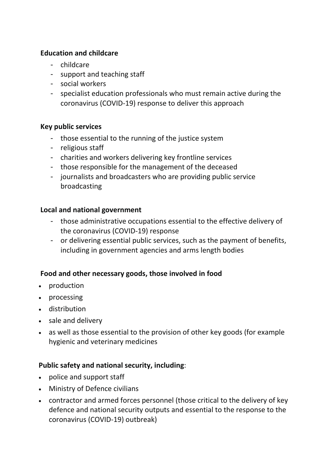### **Education and childcare**

- childcare
- support and teaching staff
- social workers
- specialist education professionals who must remain active during the coronavirus (COVID-19) response to deliver this approach

### **Key public services**

- those essential to the running of the justice system
- religious staff
- charities and workers delivering key frontline services
- those responsible for the management of the deceased
- journalists and broadcasters who are providing public service broadcasting

### **Local and national government**

- those administrative occupations essential to the effective delivery of the coronavirus (COVID-19) response
- or delivering essential public services, such as the payment of benefits, including in government agencies and arms length bodies

## **Food and other necessary goods, those involved in food**

- production
- processing
- distribution
- sale and delivery
- as well as those essential to the provision of other key goods (for example hygienic and veterinary medicines

### **Public safety and national security, including**:

- police and support staff
- Ministry of Defence civilians
- contractor and armed forces personnel (those critical to the delivery of key defence and national security outputs and essential to the response to the coronavirus (COVID-19) outbreak)